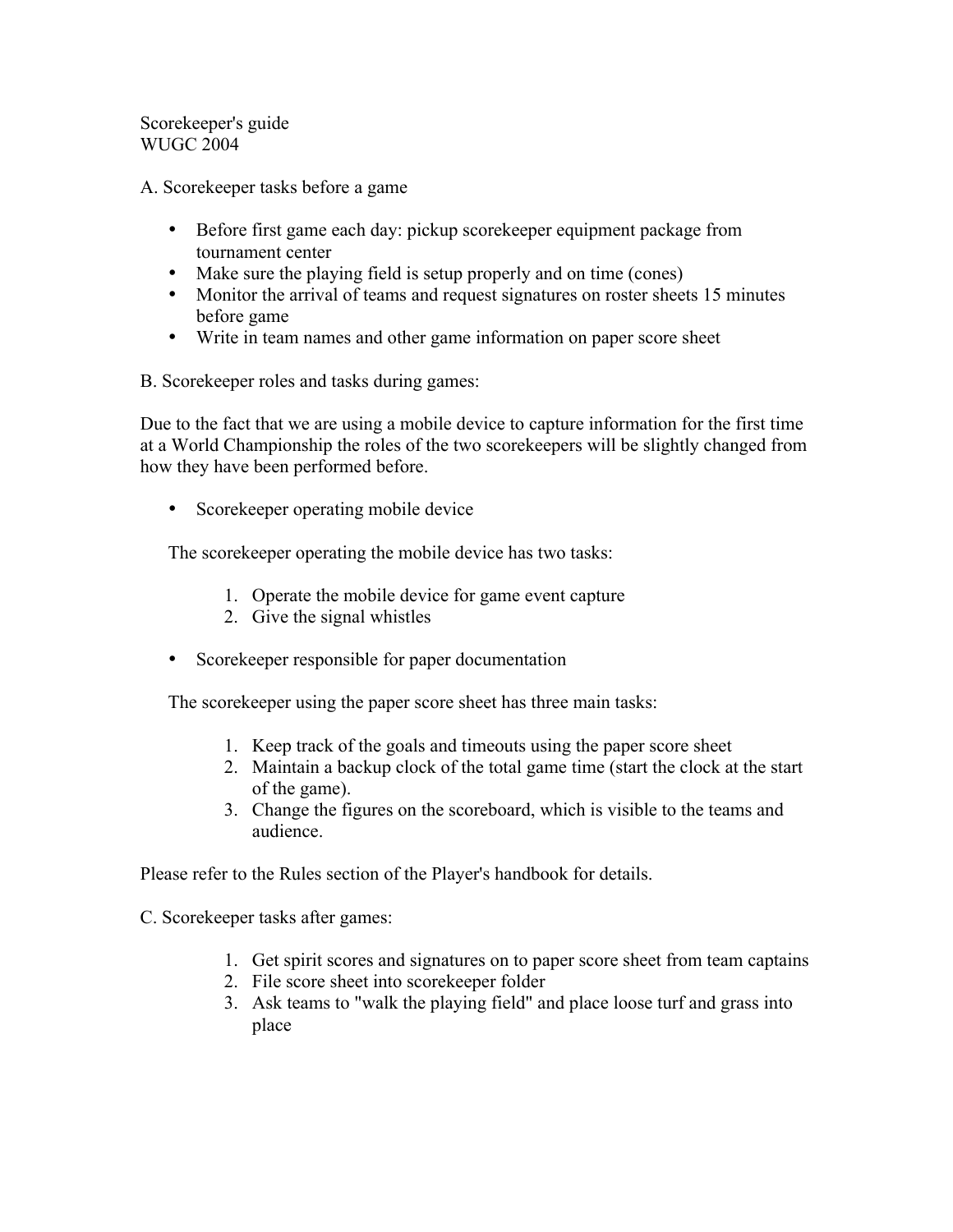Scorekeeper's guide WUGC 2004

A. Scorekeeper tasks before a game

- Before first game each day: pickup scorekeeper equipment package from tournament center
- Make sure the playing field is setup properly and on time (cones)
- Monitor the arrival of teams and request signatures on roster sheets 15 minutes before game
- Write in team names and other game information on paper score sheet

B. Scorekeeper roles and tasks during games:

Due to the fact that we are using a mobile device to capture information for the first time at a World Championship the roles of the two scorekeepers will be slightly changed from how they have been performed before.

• Scorekeeper operating mobile device

The scorekeeper operating the mobile device has two tasks:

- 1. Operate the mobile device for game event capture
- 2. Give the signal whistles
- Scorekeeper responsible for paper documentation

The scorekeeper using the paper score sheet has three main tasks:

- 1. Keep track of the goals and timeouts using the paper score sheet
- 2. Maintain a backup clock of the total game time (start the clock at the start of the game).
- 3. Change the figures on the scoreboard, which is visible to the teams and audience.

Please refer to the Rules section of the Player's handbook for details.

C. Scorekeeper tasks after games:

- 1. Get spirit scores and signatures on to paper score sheet from team captains
- 2. File score sheet into scorekeeper folder
- 3. Ask teams to "walk the playing field" and place loose turf and grass into place